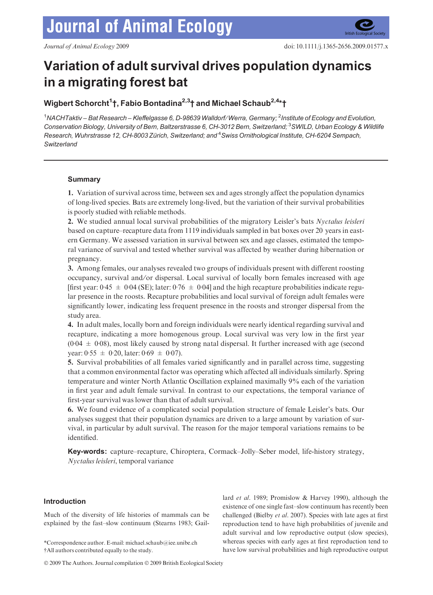# Variation of adult survival drives population dynamics in a migrating forest bat

# Wigbert Schorcht<sup>1</sup>†, Fabio Bontadina<sup>2,3</sup>† and Michael Schaub<sup>2,4</sup>\*†

 $^1$ NACHTaktiv – Bat Research – Kleffelgasse 6, D-98639 Walldorf/Werra, Germany; $^2$ Institute of Ecology and Evolution, Conservation Biology, University of Bern, Baltzerstrasse 6, CH-3012 Bern, Switzerland; <sup>3</sup>SWILD, Urban Ecology & Wildlife Research, Wuhrstrasse 12, CH-8003 Zürich, Switzerland; and <sup>4</sup>Swiss Ornithological Institute, CH-6204 Sempach, **Switzerland** 

## Summary

1. Variation of survival across time, between sex and ages strongly affect the population dynamics of long-lived species. Bats are extremely long-lived, but the variation of their survival probabilities is poorly studied with reliable methods.

2. We studied annual local survival probabilities of the migratory Leisler's bats Nyctalus leisleri based on capture–recapture data from 1119 individuals sampled in bat boxes over 20 years in eastern Germany. We assessed variation in survival between sex and age classes, estimated the temporal variance of survival and tested whether survival was affected by weather during hibernation or pregnancy.

3. Among females, our analyses revealed two groups of individuals present with different roosting occupancy, survival and⁄or dispersal. Local survival of locally born females increased with age [first year:  $0.45 \pm 0.04$  (SE); later:  $0.76 \pm 0.04$ ] and the high recapture probabilities indicate regular presence in the roosts. Recapture probabilities and local survival of foreign adult females were significantly lower, indicating less frequent presence in the roosts and stronger dispersal from the study area.

4. In adult males, locally born and foreign individuals were nearly identical regarding survival and recapture, indicating a more homogenous group. Local survival was very low in the first year  $(0.04 \pm 0.08)$ , most likely caused by strong natal dispersal. It further increased with age (second year:  $0.55 \pm 0.20$ , later:  $0.69 \pm 0.07$ ).

5. Survival probabilities of all females varied significantly and in parallel across time, suggesting that a common environmental factor was operating which affected all individuals similarly. Spring temperature and winter North Atlantic Oscillation explained maximally 9% each of the variation in first year and adult female survival. In contrast to our expectations, the temporal variance of first-year survival was lower than that of adult survival.

6. We found evidence of a complicated social population structure of female Leisler's bats. Our analyses suggest that their population dynamics are driven to a large amount by variation of survival, in particular by adult survival. The reason for the major temporal variations remains to be identified.

Key-words: capture–recapture, Chiroptera, Cormack–Jolly–Seber model, life-history strategy, Nyctalus leisleri, temporal variance

## Introduction

Much of the diversity of life histories of mammals can be explained by the fast–slow continuum (Stearns 1983; Gail-

\*Correspondence author. E-mail: michael.schaub@iee.unibe.ch †All authors contributed equally to the study.

lard et al. 1989; Promislow & Harvey 1990), although the existence of one single fast–slow continuum has recently been challenged (Bielby et al. 2007). Species with late ages at first reproduction tend to have high probabilities of juvenile and adult survival and low reproductive output (slow species), whereas species with early ages at first reproduction tend to have low survival probabilities and high reproductive output

<sup>© 2009</sup> The Authors. Journal compilation © 2009 British Ecological Society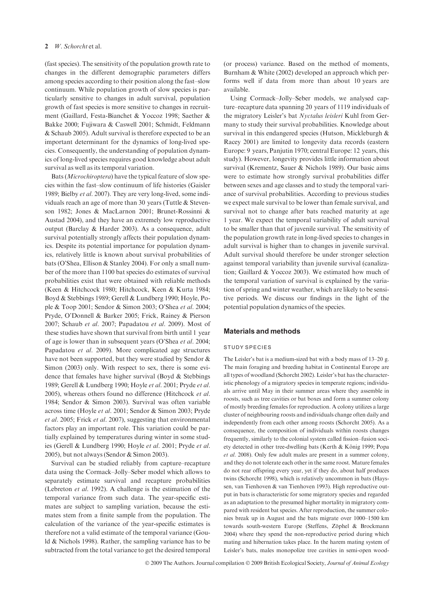## 2 W. Schorcht et al.

(fast species). The sensitivity of the population growth rate to changes in the different demographic parameters differs among species according to their position along the fast–slow continuum. While population growth of slow species is particularly sensitive to changes in adult survival, population growth of fast species is more sensitive to changes in recruitment (Gaillard, Festa-Bianchet & Yoccoz 1998; Saether & Bakke 2000; Fujiwara & Caswell 2001; Schmidt, Feldmann & Schaub 2005). Adult survival is therefore expected to be an important determinant for the dynamics of long-lived species. Consequently, the understanding of population dynamics of long-lived species requires good knowledge about adult survival as well as its temporal variation.

Bats (Microchiroptera) have the typical feature of slow species within the fast–slow continuum of life histories (Gaisler 1989; Bielby et al. 2007). They are very long-lived, some individuals reach an age of more than 30 years (Tuttle & Stevenson 1982; Jones & MacLarnon 2001; Brunet-Rossinni & Austad 2004), and they have an extremely low reproductive output (Barclay & Harder 2003). As a consequence, adult survival potentially strongly affects their population dynamics. Despite its potential importance for population dynamics, relatively little is known about survival probabilities of bats (O'Shea, Ellison & Stanley 2004). For only a small number of the more than 1100 bat species do estimates of survival probabilities exist that were obtained with reliable methods (Keen & Hitchcock 1980; Hitchcock, Keen & Kurta 1984; Boyd & Stebbings 1989; Gerell & Lundberg 1990; Hoyle, Pople & Toop 2001; Sendor & Simon 2003; O'Shea et al. 2004; Pryde, O'Donnell & Barker 2005; Frick, Rainey & Pierson 2007; Schaub et al. 2007; Papadatou et al. 2009). Most of these studies have shown that survival from birth until 1 year of age is lower than in subsequent years (O'Shea et al. 2004; Papadatou et al. 2009). More complicated age structures have not been supported, but they were studied by Sendor & Simon (2003) only. With respect to sex, there is some evidence that females have higher survival (Boyd & Stebbings 1989; Gerell & Lundberg 1990; Hoyle et al. 2001; Pryde et al. 2005), whereas others found no difference (Hitchcock et al. 1984; Sendor & Simon 2003). Survival was often variable across time (Hoyle et al. 2001; Sendor & Simon 2003; Pryde et al. 2005; Frick et al. 2007), suggesting that environmental factors play an important role. This variation could be partially explained by temperatures during winter in some studies (Gerell & Lundberg 1990; Hoyle et al. 2001; Pryde et al. 2005), but not always (Sendor & Simon 2003).

Survival can be studied reliably from capture–recapture data using the Cormack–Jolly–Seber model which allows to separately estimate survival and recapture probabilities (Lebreton et al. 1992). A challenge is the estimation of the temporal variance from such data. The year-specific estimates are subject to sampling variation, because the estimates stem from a finite sample from the population. The calculation of the variance of the year-specific estimates is therefore not a valid estimate of the temporal variance (Gould & Nichols 1998). Rather, the sampling variance has to be subtracted from the total variance to get the desired temporal (or process) variance. Based on the method of moments, Burnham & White (2002) developed an approach which performs well if data from more than about 10 years are available.

Using Cormack–Jolly–Seber models, we analysed capture–recapture data spanning 20 years of 1119 individuals of the migratory Leisler's bat Nyctalus leisleri Kuhl from Germany to study their survival probabilities. Knowledge about survival in this endangered species (Hutson, Mickleburgh & Racey 2001) are limited to longevity data records (eastern Europe: 9 years, Panjutin 1970; central Europe: 12 years, this study). However, longevity provides little information about survival (Krementz, Sauer & Nichols 1989). Our basic aims were to estimate how strongly survival probabilities differ between sexes and age classes and to study the temporal variance of survival probabilities. According to previous studies we expect male survival to be lower than female survival, and survival not to change after bats reached maturity at age 1 year. We expect the temporal variability of adult survival to be smaller than that of juvenile survival. The sensitivity of the population growth rate in long-lived species to changes in adult survival is higher than to changes in juvenile survival. Adult survival should therefore be under stronger selection against temporal variability than juvenile survival (canalization; Gaillard & Yoccoz 2003). We estimated how much of the temporal variation of survival is explained by the variation of spring and winter weather, which are likely to be sensitive periods. We discuss our findings in the light of the potential population dynamics of the species.

## Materials and methods

#### STUDY SPECIES

The Leisler's bat is a medium-sized bat with a body mass of 13–20 g. The main foraging and breeding habitat in Continental Europe are all types of woodland (Schorcht 2002). Leisler's bat has the characteristic phenology of a migratory species in temperate regions; individuals arrive until May in their summer areas where they assemble in roosts, such as tree cavities or bat boxes and form a summer colony of mostly breeding females for reproduction. A colony utilizes a large cluster of neighbouring roosts and individuals change often daily and independently from each other among roosts (Schorcht 2005). As a consequence, the composition of individuals within roosts changes frequently, similarly to the colonial system called fission–fusion society detected in other tree-dwelling bats (Kerth & König 1999; Popa et al. 2008). Only few adult males are present in a summer colony, and they do not tolerate each other in the same roost. Mature females do not rear offspring every year, yet if they do, about half produces twins (Schorcht 1998), which is relatively uncommon in bats (Hayssen, van Tienhoven & van Tienhoven 1993). High reproductive output in bats is characteristic for some migratory species and regarded as an adaptation to the presumed higher mortality in migratory compared with resident bat species. After reproduction, the summer colonies break up in August and the bats migrate over 1000–1500 km towards south-western Europe (Steffens, Zöphel & Brockmann 2004) where they spend the non-reproductive period during which mating and hibernation takes place. In the harem mating system of Leisler's bats, males monopolize tree cavities in semi-open wood-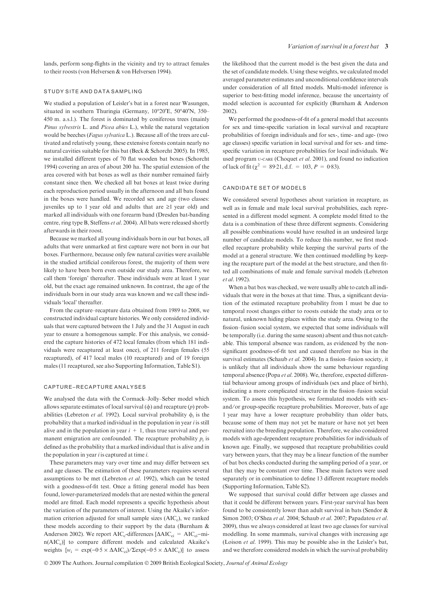lands, perform song-flights in the vicinity and try to attract females to their roosts (von Helversen & von Helversen 1994).

#### STUDY SITE AND DATA SAMPLING

We studied a population of Leisler's bat in a forest near Wasungen, situated in southern Thuringia (Germany, 10°20'E, 50°40'N, 350– 450 m. a.s.l.). The forest is dominated by coniferous trees (mainly Pinus sylvestris L. and Picea abies L.), while the natural vegetation would be beeches (Fagus sylvatica L.). Because all of the trees are cultivated and relatively young, these extensive forests contain nearly no natural cavities suitable for this bat (Beck & Schorcht 2005). In 1985, we installed different types of 70 flat wooden bat boxes (Schorcht 1994) covering an area of about 200 ha. The spatial extension of the area covered with bat boxes as well as their number remained fairly constant since then. We checked all bat boxes at least twice during each reproduction period usually in the afternoon and all bats found in the boxes were handled. We recorded sex and age (two classes: juveniles up to 1 year old and adults that are  $\geq$ 1 year old) and marked all individuals with one forearm band (Dresden bat-banding centre, ring type B, Steffens et al. 2004). All bats were released shortly afterwards in their roost.

Because we marked all young individuals born in our bat boxes, all adults that were unmarked at first capture were not born in our bat boxes. Furthermore, because only few natural cavities were available in the studied artificial coniferous forest, the majority of them were likely to have been born even outside our study area. Therefore, we call them 'foreign' thereafter. These individuals were at least 1 year old, but the exact age remained unknown. In contrast, the age of the individuals born in our study area was known and we call these individuals 'local' thereafter.

From the capture–recapture data obtained from 1989 to 2008, we constructed individual capture histories. We only considered individuals that were captured between the 1 July and the 31 August in each year to ensure a homogenous sample. For this analysis, we considered the capture histories of 472 local females (from which 181 individuals were recaptured at least once), of 211 foreign females (55 recaptured), of 417 local males (10 recaptured) and of 19 foreign males (11 recaptured, see also Supporting Information, Table S1).

### CAPTURE–RECAPTURE ANALYSES

We analysed the data with the Cormack–Jolly–Seber model which allows separate estimates of local survival  $(\phi)$  and recapture  $(p)$  probabilities (Lebreton *et al.* 1992). Local survival probability  $\phi_i$  is the probability that a marked individual in the population in year  $i$  is still alive and in the population in year  $i + 1$ , thus true survival and permanent emigration are confounded. The recapture probability  $p_i$  is defined as the probability that a marked individual that is alive and in the population in year  $i$  is captured at time  $i$ .

These parameters may vary over time and may differ between sex and age classes. The estimation of these parameters requires several assumptions to be met (Lebreton et al. 1992), which can be tested with a goodness-of-fit test. Once a fitting general model has been found, lower-parameterized models that are nested within the general model are fitted. Each model represents a specific hypothesis about the variation of the parameters of interest. Using the Akaike's information criterion adjusted for small sample sizes (AICc), we ranked these models according to their support by the data (Burnham & Anderson 2002). We report  $AIC_c$ -differences [ $\Delta AIC_{ci} = AIC_{ci}$ -min(AIC<sub>c</sub>)] to compare different models and calculated Akaike's weights  $[w_i = \exp(-0.5 \times \Delta AIC_{ci}) / \Sigma exp(-0.5 \times \Delta AIC_{c})]$  to assess

the likelihood that the current model is the best given the data and the set of candidate models. Using these weights, we calculated model averaged parameter estimates and unconditional confidence intervals under consideration of all fitted models. Multi-model inference is superior to best-fitting model inference, because the uncertainty of model selection is accounted for explicitly (Burnham & Anderson 2002).

We performed the goodness-of-fit of a general model that accounts for sex and time-specific variation in local survival and recapture probabilities of foreign individuals and for sex-, time- and age- (two age classes) specific variation in local survival and for sex- and timespecific variation in recapture probabilities for local individuals. We used program u-care (Choquet et al. 2001), and found no indication of lack of fit ( $\chi^2 = 89.21$ , d.f. = 103,  $P = 0.83$ ).

## CANDIDATE SET OF MODELS

We considered several hypotheses about variation in recapture, as well as in female and male local survival probabilities, each represented in a different model segment. A complete model fitted to the data is a combination of these three different segments. Considering all possible combinations would have resulted in an undesired large number of candidate models. To reduce this number, we first modelled recapture probability while keeping the survival parts of the model at a general structure. We then continued modelling by keeping the recapture part of the model at the best structure, and then fitted all combinations of male and female survival models (Lebreton et al. 1992).

When a bat box was checked, we were usually able to catch all individuals that were in the boxes at that time. Thus, a significant deviation of the estimated recapture probability from 1 must be due to temporal roost changes either to roosts outside the study area or to natural, unknown hiding places within the study area. Owing to the fission–fusion social system, we expected that some individuals will be temporally (i.e. during the same season) absent and thus not catchable. This temporal absence was random, as evidenced by the nonsignificant goodness-of-fit test and caused therefore no bias in the survival estimates (Schaub et al. 2004). In a fission–fusion society, it is unlikely that all individuals show the same behaviour regarding temporal absence (Popa et al. 2008). We, therefore, expected differential behaviour among groups of individuals (sex and place of birth), indicating a more complicated structure in the fission–fusion social system. To assess this hypothesis, we formulated models with sexand/or group-specific recapture probabilities. Moreover, bats of age 1 year may have a lower recapture probability than older bats, because some of them may not yet be mature or have not yet been recruited into the breeding population. Therefore, we also considered models with age-dependent recapture probabilities for individuals of known age. Finally, we supposed that recapture probabilities could vary between years, that they may be a linear function of the number of bat box checks conducted during the sampling period of a year, or that they may be constant over time. These main factors were used separately or in combination to define 13 different recapture models (Supporting Information, Table S2).

We supposed that survival could differ between age classes and that it could be different between years. First-year survival has been found to be consistently lower than adult survival in bats (Sendor & Simon 2003; O'Shea et al. 2004; Schaub et al. 2007; Papadatou et al. 2009), thus we always considered at least two age classes for survival modelling. In some mammals, survival changes with increasing age (Loison et al. 1999). This may be possible also in the Leisler's bat, and we therefore considered models in which the survival probability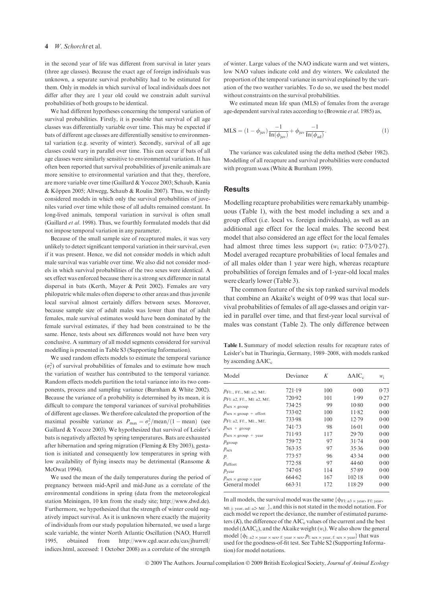### 4 W. Schorcht et al.

in the second year of life was different from survival in later years (three age classes). Because the exact age of foreign individuals was unknown, a separate survival probability had to be estimated for them. Only in models in which survival of local individuals does not differ after they are 1 year old could we constrain adult survival probabilities of both groups to be identical.

We had different hypotheses concerning the temporal variation of survival probabilities. Firstly, it is possible that survival of all age classes was differentially variable over time. This may be expected if bats of different age classes are differentially sensitive to environmental variation (e.g. severity of winter). Secondly, survival of all age classes could vary in parallel over time. This can occur if bats of all age classes were similarly sensitive to environmental variation. It has often been reported that survival probabilities of juvenile animals are more sensitive to environmental variation and that they, therefore, are more variable over time (Gaillard & Yoccoz 2003; Schaub, Kania & Köppen 2005; Altwegg, Schaub & Roulin 2007). Thus, we thirdly considered models in which only the survival probabilities of juveniles varied over time while those of all adults remained constant. In long-lived animals, temporal variation in survival is often small (Gaillard et al. 1998). Thus, we fourthly formulated models that did not impose temporal variation in any parameter.

Because of the small sample size of recaptured males, it was very unlikely to detect significant temporal variation in their survival, even if it was present. Hence, we did not consider models in which adult male survival was variable over time. We also did not consider models in which survival probabilities of the two sexes were identical. A sex effect was enforced because there is a strong sex difference in natal dispersal in bats (Kerth, Mayer & Petit 2002). Females are very philopatric while males often disperse to other areas and thus juvenile local survival almost certainly differs between sexes. Moreover, because sample size of adult males was lower than that of adult females, male survival estimates would have been dominated by the female survival estimates, if they had been constrained to be the same. Hence, tests about sex differences would not have been very conclusive. A summary of all model segments considered for survival modelling is presented in Table S3 (Supporting Information).

We used random effects models to estimate the temporal variance  $(\sigma_t^2)$  of survival probabilities of females and to estimate how much the variation of weather has contributed to the temporal variance. Random effects models partition the total variance into its two components, process and sampling variance (Burnham & White 2002). Because the variance of a probability is determined by its mean, it is difficult to compare the temporal variances of survival probabilities of different age classes. We therefore calculated the proportion of the maximal possible variance as  $P_{\text{max}} = \sigma_t^2 / \text{mean} / (1 - \text{mean})$  (see Gaillard & Yoccoz 2003). We hypothesized that survival of Leisler's bats is negatively affected by spring temperatures. Bats are exhausted after hibernation and spring migration (Fleming & Eby 2003), gestation is initiated and consequently low temperatures in spring with low availability of flying insects may be detrimental (Ransome & McOwat 1994).

We used the mean of the daily temperatures during the period of pregnancy between mid-April and mid-June as a correlate of the environmental conditions in spring (data from the meteorological station Meiningen, 10 km from the study site; http://www.dwd.de). Furthermore, we hypothesized that the strength of winter could negatively impact survival. As it is unknown where exactly the majority of individuals from our study population hibernated, we used a large scale variable, the winter North Atlantic Oscillation (NAO, Hurrell 1995, obtained from http://www.cgd.ucar.edu/cas/jhurrell/ indices.html, accessed: 1 October 2008) as a correlate of the strength of winter. Large values of the NAO indicate warm and wet winters, low NAO values indicate cold and dry winters. We calculated the proportion of the temporal variance in survival explained by the variation of the two weather variables. To do so, we used the best model without constraints on the survival probabilities.

We estimated mean life span (MLS) of females from the average age-dependent survival rates according to (Brownie et al. 1985) as,

$$
\text{MLS} = (1 - \phi_{\text{juv}}) \frac{-1}{\text{In}(\phi_{\text{juv}})} + \phi_{\text{juv}} \frac{-1}{\text{In}(\phi_{\text{ad}})}.
$$
 (1)

The variance was calculated using the delta method (Seber 1982). Modelling of all recapture and survival probabilities were conducted with program MARK (White & Burnham 1999).

## Results

Modelling recapture probabilities were remarkably unambiguous (Table 1), with the best model including a sex and a group effect (i.e. local vs. foreign individuals), as well as an additional age effect for the local males. The second best model that also considered an age effect for the local females had almost three times less support ( $w_i$  ratio: 0.73/0.27). Model averaged recapture probabilities of local females and of all males older than 1 year were high, whereas recapture probabilities of foreign females and of 1-year-old local males were clearly lower (Table 3).

The common feature of the six top ranked survival models that combine an Akaike's weight of 0.99 was that local survival probabilities of females of all age-classes and origin varied in parallel over time, and that first-year local survival of males was constant (Table 2). The only difference between

Table 1. Summary of model selection results for recapture rates of Leisler's bat in Thuringia, Germany, 1989–2008, with models ranked by ascending  $\Delta AIC_c$ 

| Model                                                   | Deviance | K   | $\Delta AIC_c$ | $W_1$ |
|---------------------------------------------------------|----------|-----|----------------|-------|
| $p_{\text{Fl:}}$ , Ff:., Ml: a2, Mf:.                   | $721-19$ | 100 | 0.00           | 0.73  |
| $p_{\mathrm{Fl: a2, Ff:., MI: a2, MF:}.$                | 720.92   | 101 | 1.99           | 0.27  |
| $p_{\text{sex}} \times \text{group}$                    | 734.25   | 99  | $10-80$        | 0.00  |
| $p_{\text{sex}} \times \text{group} + \text{effort}$    | 733.02   | 100 | 11.82          | 0.00  |
| $p_{\text{Fl: a2, Ff:., MI:., Mf:.}$                    | 733.98   | 100 | 12.79          | 0.00  |
| $p_{\text{sex}} + \text{group}$                         | 741.73   | 98  | 16:01          | 0.00  |
| $p_{\text{sex}} \times \text{group} + \text{year}$      | 711.93   | 117 | 29.70          | 0.00  |
| $p_{\rm group}$                                         | 759.72   | 97  | 31.74          | 0.00  |
| $p_{\rm sex}$                                           | 763.35   | 97  | 35.36          | 0.00  |
| p.                                                      | 773.57   | 96  | 43.34          | 0.00  |
| $p_{\text{effort}}$                                     | 772.58   | 97  | 44.60          | 0.00  |
| $p_{\rm year}$                                          | 747.05   | 114 | 57.89          | 0.00  |
| $p_{\text{sex}} \times \text{group} \times \text{year}$ | 664.62   | 167 | 102.18         | 0.00  |
| General model                                           | 663.31   | 172 | 118.29         | 0.00  |

In all models, the survival model was the same  $\{\phi_{\text{FI: a3} \times \text{year}, \text{Ff: year}}\}$ Ml: j: year, ad: a2, Mf:  $\}$ , and this is not stated in the model notation. For each model we report the deviance, the number of estimated parameters  $(K)$ , the difference of the AIC<sub>c</sub> values of the current and the best model ( $\triangle AIC_c$ ), and the Akaike weight ( $w_i$ ). We also show the general model  $\{\phi_{l: a2 \times year \times sex, f: year \times sex, p_l: sex \times year, f: sex \times year}\}$  that was used for the goodness-of-fit test. See Table S2 (Supporting Information) for model notations.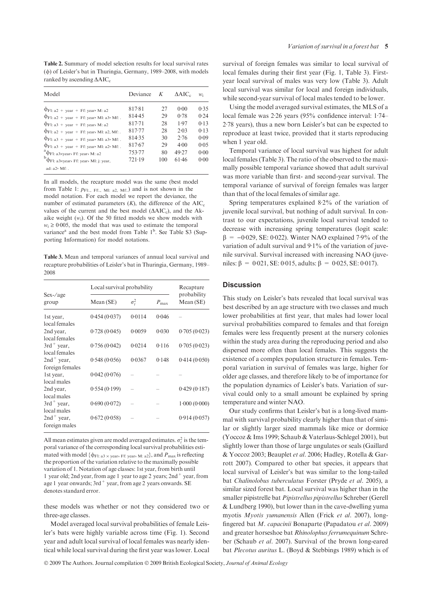Table 2. Summary of model selection results for local survival rates  $(\phi)$  of Leisler's bat in Thuringia, Germany, 1989–2008, with models ranked by ascending  $\Delta AIC_c$ 

| Model                                          | Deviance $K$ |     | $\triangle AIC_c$ | $W_i$ |
|------------------------------------------------|--------------|-----|-------------------|-------|
| $\Phi$ Fl: a2 + year + Ff: year, M: a2         | 817.81       | 27  | 0.00              | 0.35  |
| $\Phi$ Fl: a2 + year + Ff: year, Ml: a3, Mf: . | $814 - 45$   | 29  | 0.78              | 0.24  |
| $\Phi$ Fl: a3 + year + Ff: year, M: a2         | $817 - 71$   | 28  | 1.97              | 0.13  |
| $\Phi$ Fl: a2 + year + Ff: year, Ml: a2, Mf: . | $817 - 77$   | 28  | 2.03              | 0.13  |
| $\Phi$ Fl: a3 + year + Ff: year, Ml: a3, Mf: . | 814.35       | 30  | 2.76              | 0.09  |
| $\Phi$ Fl: a3 + year + Ff: year, Ml: a2, Mf: . | 817.67       | 29  | 4.00              | 0.05  |
| ${}^a\varphi$ Fl: a3×year, Ff: year, M: a2     | 753.77       | 80  | 49.27             | 0.00  |
| $\phi$ Fl: a3×year, Ff: year, Ml: j: year,     | 721.19       | 100 | 61.46             | 0.00  |
| ad: $a2$ , Mf:                                 |              |     |                   |       |

In all models, the recapture model was the same (best model from Table 1:  $p_{\text{Fl:},\text{Ff:},\text{M: a2, Mf:}}$  and is not shown in the model notation. For each model we report the deviance, the number of estimated parameters  $(K)$ , the difference of the AIC<sub>c</sub> values of the current and the best model  $(\Delta AIC_c)$ , and the Akaike weight  $(w_i)$ . Of the 50 fitted models we show models with  $w_i \ge 0.005$ , the model that was used to estimate the temporal variance<sup>a</sup> and the best model from Table  $1<sup>b</sup>$ . See Table S3 (Supporting Information) for model notations.

Table 3. Mean and temporal variances of annual local survival and recapture probabilities of Leisler's bat in Thuringia, Germany, 1989– 2008

|                                  | Local survival probability | Recapture    |                  |                          |
|----------------------------------|----------------------------|--------------|------------------|--------------------------|
| $Sex-\angle$ age<br>group        | Mean (SE)                  | $\sigma^2_t$ | $P_{\text{max}}$ | probability<br>Mean (SE) |
| 1st year,<br>local females       | 0.454(0.037)               | 0.0114       | 0.046            |                          |
| 2nd year,<br>local females       | 0.728(0.045)               | 0.0059       | 0.030            | 0.705(0.023)             |
| $3rd^+$ year,<br>local females   | 0.756(0.042)               | 0.0214       | 0.116            | 0.705(0.023)             |
| $2nd^+$ year,<br>foreign females | 0.548(0.056)               | 0.0367       | 0.148            | 0.414(0.050)             |
| 1st year,<br>local males         | 0.042(0.076)               |              |                  |                          |
| 2nd year,<br>local males         | 0.554(0.199)               |              |                  | 0.429(0.187)             |
| $3rd^+$ year,<br>local males     | 0.690(0.072)               |              |                  | 1.000(0.000)             |
| $2nd^+$ year,<br>foreign males   | 0.672(0.058)               |              |                  | 0.914(0.057)             |

All mean estimates given are model averaged estimates.  $\sigma_t^2$  is the temporal variance of the corresponding local survival probabilities estimated with model  $\{\varphi_{\rm Fl:~a3~\times~year},$   $_{\rm Ff:~year},$   $_{\rm M:~a2}\},$  and  $P_{\rm max}$  is reflecting the proportion of the variation relative to the maximally possible variation of 1. Notation of age classes: 1st year, from birth until 1 year old; 2nd year, from age 1 year to age 2 years;  $2nd + year$ , from age 1 year onwards;  $3rd + year$ , from age 2 years onwards. SE denotes standard error.

these models was whether or not they considered two or three-age classes.

Model averaged local survival probabilities of female Leisler's bats were highly variable across time (Fig. 1). Second year and adult local survival of local females was nearly identical while local survival during the first year was lower. Local

survival of foreign females was similar to local survival of local females during their first year (Fig. 1, Table 3). Firstyear local survival of males was very low (Table 3). Adult local survival was similar for local and foreign individuals, while second-year survival of local males tended to be lower.

Using the model averaged survival estimates, the MLS of a local female was 2.26 years (95% confidence interval: 1.74– 2.78 years), thus a new born Leisler's bat can be expected to reproduce at least twice, provided that it starts reproducing when 1 year old.

Temporal variance of local survival was highest for adult local females (Table 3). The ratio of the observed to the maximally possible temporal variance showed that adult survival was more variable than first- and second-year survival. The temporal variance of survival of foreign females was larger than that of the local females of similar age.

Spring temperatures explained  $8.2\%$  of the variation of juvenile local survival, but nothing of adult survival. In contrast to our expectations, juvenile local survival tended to decrease with increasing spring temperatures (logit scale:  $\beta = -0.029$ , SE: 0.022). Winter NAO explained 7.9% of the variation of adult survival and  $9.1\%$  of the variation of juvenile survival. Survival increased with increasing NAO (juveniles:  $\beta = 0.021$ , SE: 0.015, adults:  $\beta = 0.025$ , SE: 0.017).

#### **Discussion**

This study on Leisler's bats revealed that local survival was best described by an age structure with two classes and much lower probabilities at first year, that males had lower local survival probabilities compared to females and that foreign females were less frequently present at the nursery colonies within the study area during the reproducing period and also dispersed more often than local females. This suggests the existence of a complex population structure in females. Temporal variation in survival of females was large, higher for older age classes, and therefore likely to be of importance for the population dynamics of Leisler's bats. Variation of survival could only to a small amount be explained by spring temperature and winter NAO.

Our study confirms that Leisler's bat is a long-lived mammal with survival probability clearly higher than that of similar or slightly larger sized mammals like mice or dormice (Yoccoz & Ims 1999; Schaub & Vaterlaus-Schlegel 2001), but slightly lower than those of large ungulates or seals (Gaillard & Yoccoz 2003; Beauplet et al. 2006; Hadley, Rotella & Garrott 2007). Compared to other bat species, it appears that local survival of Leisler's bat was similar to the long-tailed bat Chalinolobus tuberculatus Forster (Pryde et al. 2005), a similar sized forest bat. Local survival was higher than in the smaller pipistrelle bat Pipistrellus pipistrellus Schreber (Gerell & Lundberg 1990), but lower than in the cave-dwelling yuma myotis Myotis yumanensis Allen (Frick et al. 2007), longfingered bat M. capacinii Bonaparte (Papadatou et al. 2009) and greater horseshoe bat Rhinolophus ferrumequinum Schreber (Schaub et al. 2007). Survival of the brown long-eared bat Plecotus auritus L. (Boyd & Stebbings 1989) which is of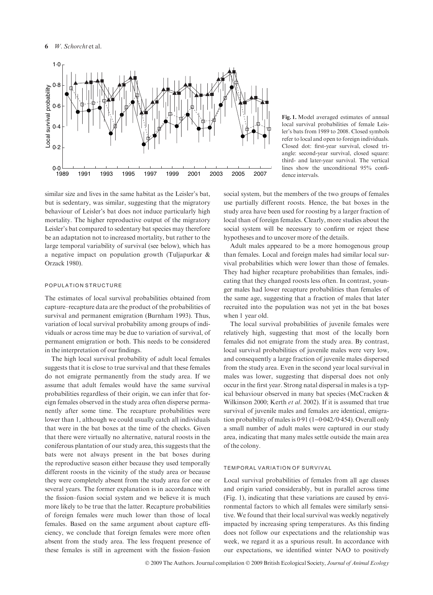

similar size and lives in the same habitat as the Leisler's bat, but is sedentary, was similar, suggesting that the migratory behaviour of Leisler's bat does not induce particularly high mortality. The higher reproductive output of the migratory Leisler's bat compared to sedentary bat species may therefore be an adaptation not to increased mortality, but rather to the large temporal variability of survival (see below), which has a negative impact on population growth (Tuljapurkar & Orzack 1980).

#### POPULATION STRUCTURE

The estimates of local survival probabilities obtained from capture–recapture data are the product of the probabilities of survival and permanent emigration (Burnham 1993). Thus, variation of local survival probability among groups of individuals or across time may be due to variation of survival, of permanent emigration or both. This needs to be considered in the interpretation of our findings.

The high local survival probability of adult local females suggests that it is close to true survival and that these females do not emigrate permanently from the study area. If we assume that adult females would have the same survival probabilities regardless of their origin, we can infer that foreign females observed in the study area often disperse permanently after some time. The recapture probabilities were lower than 1, although we could usually catch all individuals that were in the bat boxes at the time of the checks. Given that there were virtually no alternative, natural roosts in the coniferous plantation of our study area, this suggests that the bats were not always present in the bat boxes during the reproductive season either because they used temporally different roosts in the vicinity of the study area or because they were completely absent from the study area for one or several years. The former explanation is in accordance with the fission–fusion social system and we believe it is much more likely to be true that the latter. Recapture probabilities of foreign females were much lower than those of local females. Based on the same argument about capture efficiency, we conclude that foreign females were more often absent from the study area. The less frequent presence of these females is still in agreement with the fission–fusion

Fig. 1. Model averaged estimates of annual local survival probabilities of female Leisler's bats from 1989 to 2008. Closed symbols refer to local and open to foreign individuals. Closed dot: first-year survival, closed triangle: second-year survival, closed square: third- and later-year survival. The vertical lines show the unconditional 95% confidence intervals.

social system, but the members of the two groups of females use partially different roosts. Hence, the bat boxes in the study area have been used for roosting by a larger fraction of local than of foreign females. Clearly, more studies about the social system will be necessary to confirm or reject these hypotheses and to uncover more of the details.

Adult males appeared to be a more homogenous group than females. Local and foreign males had similar local survival probabilities which were lower than those of females. They had higher recapture probabilities than females, indicating that they changed roosts less often. In contrast, younger males had lower recapture probabilities than females of the same age, suggesting that a fraction of males that later recruited into the population was not yet in the bat boxes when 1 year old.

The local survival probabilities of juvenile females were relatively high, suggesting that most of the locally born females did not emigrate from the study area. By contrast, local survival probabilities of juvenile males were very low, and consequently a large fraction of juvenile males dispersed from the study area. Even in the second year local survival in males was lower, suggesting that dispersal does not only occur in the first year. Strong natal dispersal in males is a typical behaviour observed in many bat species (McCracken & Wilkinson 2000; Kerth et al. 2002). If it is assumed that true survival of juvenile males and females are identical, emigration probability of males is  $0.91 (1 - 0.042 / 0.454)$ . Overall only a small number of adult males were captured in our study area, indicating that many males settle outside the main area of the colony.

### TEMPORAL VARIATION OF SURVIVAL

Local survival probabilities of females from all age classes and origin varied considerably, but in parallel across time (Fig. 1), indicating that these variations are caused by environmental factors to which all females were similarly sensitive. We found that their local survival was weekly negatively impacted by increasing spring temperatures. As this finding does not follow our expectations and the relationship was week, we regard it as a spurious result. In accordance with our expectations, we identified winter NAO to positively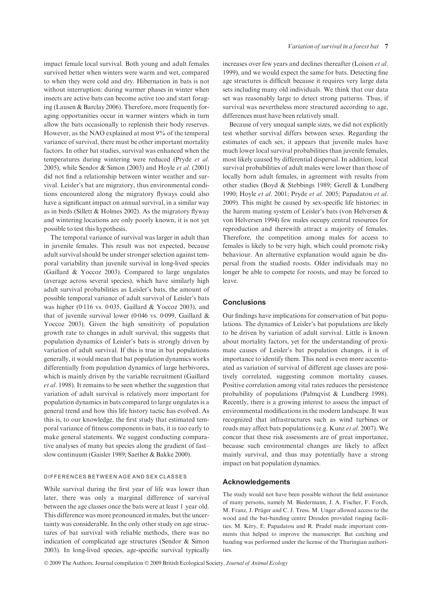impact female local survival. Both young and adult females survived better when winters were warm and wet, compared to when they were cold and dry. Hibernation in bats is not without interruption: during warmer phases in winter when insects are active bats can become active too and start foraging (Lausen & Barclay 2006). Therefore, more frequently foraging opportunities occur in warmer winters which in turn allow the bats occasionally to replenish their body reserves. However, as the NAO explained at most 9% of the temporal variance of survival, there must be other important mortality factors. In other bat studies, survival was enhanced when the temperatures during wintering were reduced (Pryde et al. 2005), while Sendor & Simon (2003) and Hoyle et al. (2001) did not find a relationship between winter weather and survival. Leisler's bat are migratory, thus environmental conditions encountered along the migratory flyways could also have a significant impact on annual survival, in a similar way as in birds (Sillett & Holmes 2002). As the migratory flyway and wintering locations are only poorly known, it is not yet possible to test this hypothesis.

The temporal variance of survival was larger in adult than in juvenile females. This result was not expected, because adult survival should be under stronger selection against temporal variability than juvenile survival in long-lived species (Gaillard & Yoccoz 2003). Compared to large ungulates (average across several species), which have similarly high adult survival probabilities as Leisler's bats, the amount of possible temporal variance of adult survival of Leisler's bats was higher (0.116 vs. 0.035, Gaillard & Yoccoz 2003), and that of juvenile survival lower (0.046 vs. 0.099, Gaillard  $\&$ Yoccoz 2003). Given the high sensitivity of population growth rate to changes in adult survival, this suggests that population dynamics of Leisler's bats is strongly driven by variation of adult survival. If this is true in bat populations generally, it would mean that bat population dynamics works differentially from population dynamics of large herbivores, which is mainly driven by the variable recruitment (Gaillard et al. 1998). It remains to be seen whether the suggestion that variation of adult survival is relatively more important for population dynamics in bats compared to large ungulates is a general trend and how this life history tactic has evolved. As this is, to our knowledge, the first study that estimated temporal variance of fitness components in bats, it is too early to make general statements. We suggest conducting comparative analyses of many bat species along the gradient of fast– slow continuum (Gaisler 1989; Saether & Bakke 2000).

## DIFFERENCES BETWEEN AGE AND SEX CLASSES

While survival during the first year of life was lower than later, there was only a marginal difference of survival between the age classes once the bats were at least 1 year old. This difference was more pronounced in males, but the uncertainty was considerable. In the only other study on age structures of bat survival with reliable methods, there was no indication of complicated age structures (Sendor & Simon 2003). In long-lived species, age-specific survival typically

increases over few years and declines thereafter (Loison et al. 1999), and we would expect the same for bats. Detecting fine age structures is difficult because it requires very large data sets including many old individuals. We think that our data set was reasonably large to detect strong patterns. Thus, if survival was nevertheless more structured according to age, differences must have been relatively small.

Because of very unequal sample sizes, we did not explicitly test whether survival differs between sexes. Regarding the estimates of each sex, it appears that juvenile males have much lower local survival probabilities than juvenile females, most likely caused by differential dispersal. In addition, local survival probabilities of adult males were lower than those of locally born adult females, in agreement with results from other studies (Boyd & Stebbings 1989; Gerell & Lundberg 1990; Hoyle et al. 2001; Pryde et al. 2005; Papadatou et al. 2009). This might be caused by sex-specific life histories: in the harem mating system of Leisler's bats (von Helversen & von Helversen 1994) few males occupy central resources for reproduction and therewith attract a majority of females. Therefore, the competition among males for access to females is likely to be very high, which could promote risky behaviour. An alternative explanation would again be dispersal from the studied roosts. Older individuals may no longer be able to compete for roosts, and may be forced to leave.

## **Conclusions**

Our findings have implications for conservation of bat populations. The dynamics of Leisler's bat populations are likely to be driven by variation of adult survival. Little is known about mortality factors, yet for the understanding of proximate causes of Leisler's bat population changes, it is of importance to identify them. This need is even more accentuated as variation of survival of different age classes are positively correlated, suggesting common mortality causes. Positive correlation among vital rates reduces the persistence probability of populations (Palmqvist & Lundberg 1998). Recently, there is a growing interest to assess the impact of environmental modifications in the modern landscape. It was recognized that infrastructures such as wind turbines or roads may affect bats populations (e.g. Kunz et al. 2007). We concur that these risk assessments are of great importance, because such environmental changes are likely to affect mainly survival, and thus may potentially have a strong impact on bat population dynamics.

## Acknowledgements

The study would not have been possible without the field assistance of many persons, namely M. Biedermann, J. A. Fischer, F. Forch, M. Franz, J. Prüger and C. J. Tress. M. Unger allowed access to the wood and the bat-banding centre Dresden provided ringing facilities. M. Kéry, E. Papadatou and R. Pradel made important comments that helped to improve the manuscript. Bat catching and banding was performed under the license of the Thuringian authorities.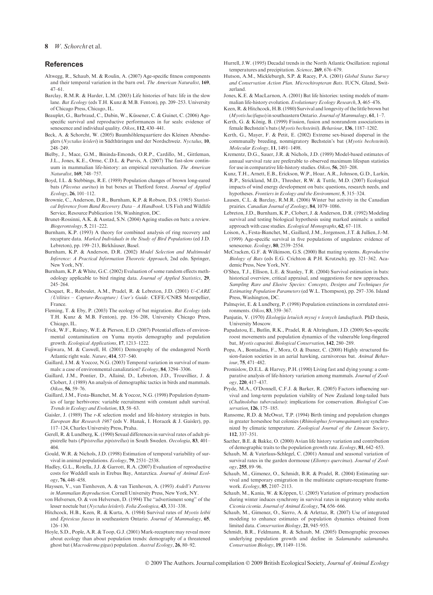8 W. Schorcht et al.

#### References

- Altwegg, R., Schaub, M. & Roulin, A. (2007) Age-specific fitness components and their temporal variation in the barn owl. The American Naturalist, 169, 47–61.
- Barclay, R.M.R. & Harder, L.M. (2003) Life histories of bats: life in the slow lane. Bat Ecology (eds T.H. Kunz & M.B. Fenton), pp. 209–253. University of Chicago Press, Chicago, IL.
- Beauplet, G., Barbraud, C., Dabin, W., Küssener, C. & Guinet, C. (2006) Agespecific survival and reproductive performances in fur seals: evidence of senescence and individual quality. Oikos, 112, 430-441.
- Beck, A. & Schorcht, W. (2005) Baumhöhlenquartiere des Kleinen Abendseglers (Nyctalus leisleri) in Südthüringen und der Nordschweiz. Nyctalus, 10, 248–249.
- Bielby, J., Mace, G.M., Bininda-Emonds, O.R.P., Cardillo, M., Gittleman, J.L., Jones, K.E., Orme, C.D.L. & Purvis, A. (2007) The fast-slow continuum in mammalian life-history: an empirical reevaluation. The American Naturalist, 169, 748–757.
- Boyd, I.L. & Stebbings, R.E. (1989) Population changes of brown long-eared bats (Plecotus auritus) in bat boxes at Thetford forest. Journal of Applied Ecology, 26, 101–112.
- Brownie, C., Anderson, D.R., Burnham, K.P. & Robson, D.S. (1985) Statistical Inference from Band Recovery Data – A Handbook. US Fish and Wildlife Service, Resource Publication 156, Washington, DC.
- Brunet-Rossinni, A.K. & Austad, S.N. (2004) Ageing studies on bats: a review. Biogerontology, 5, 211–222.
- Burnham, K.P. (1993) A theory for combined analysis of ring recovery and recapture data. Marked Individuals in the Study of Bird Populations (ed J.D. Lebreton), pp. 199-213, Birkhäuser, Basel.
- Burnham, K.P. & Anderson, D.R. (2002) Model Selection and Multimodel Inference: A Practical Information Theoretic Approach, 2nd edn. Springer, New York, NY.
- Burnham, K.P. & White, G.C. (2002) Evaluation of some random effects methodology applicable to bird ringing data. Journal of Applied Statistics, 29, 245–264.
- Choquet, R., Reboulet, A.M., Pradel, R. & Lebreton, J.D. (2001) U-CARE (Utilities – Capture-Recapture) User's Guide. CEFE ⁄ CNRS Montpellier, France.
- Fleming, T. & Eby, P. (2003) The ecology of bat migration. Bat Ecology (eds T.H. Kunz & M.B. Fenton), pp. 156–208, University Chicago Press, Chicago, IL.
- Frick, W.F., Rainey, W.E. & Pierson, E.D. (2007) Potential effects of environmental contamination on Yuma myotis demography and population growth. Ecological Applications, 17, 1213–1222.
- Fujiwara, M. & Caswell, H. (2001) Demography of the endangered North Atlantic right wale. Nature, 414, 537–540.
- Gaillard, J.M. & Yoccoz, N.G. (2003) Temporal variation in survival of mammals: a case of environmental canalization? Ecology, 84, 3294–3306.
- Gaillard, J.M., Pontier, D., Allainé, D., Lebreton, J.D., Trouvilliez, J. & Clobert, J. (1989) An analysis of demographic tactics in birds and mammals. Oikos, 56, 59–76.
- Gaillard, J.M., Festa-Bianchet, M. & Yoccoz, N.G. (1998) Population dynamics of large herbivores: variable recruitment with constant adult survival. Trends in Ecology and Evolution, 13, 58–63.
- Gaisler, J. (1989) The r-K selection model and life-history strategies in bats. European Bat Research 1987 (eds V. Hanak, I. Horacek & J. Gaisler), pp. 117–124, Charles University Press, Praha.
- Gerell, R. & Lundberg, K. (1990) Sexual differences in survival rates of adult pipistrelle bats (Pipistrellus pipistrellus) in South Sweden. Oecologia, 83, 401– 404.
- Gould, W.R. & Nichols, J.D. (1998) Estimation of temporal variability of survival in animal populations. Ecology, 79, 2531–2538.
- Hadley, G.L., Rotella, J.J. & Garrott, R.A. (2007) Evaluation of reproductive costs for Weddell seals in Erebus Bay, Antarctica. Journal of Animal Ecology, 76, 448–458.
- Hayssen, V., van Tienhoven, A. & van Tienhoven, A. (1993) Asdell's Patterns in Mammalian Reproduction. Cornell University Press, New York, NY.
- von Helversen, O. & von Helversen, D. (1994) The ''advertisment song'' of the lesser noctule bat (Nyctalus leisleri). Folia Zoologica, 43, 331–338.
- Hitchcock, H.B., Keen, R. & Kurta, A. (1984) Survival rates of *Myotis leibii* and Eptesicus fuscus in southeastern Ontario. Journal of Mammalogy, 65, 126–130.
- Hoyle, S.D., Pople, A.R. & Toop, G.J. (2001) Mark-recapture may reveal more about ecology than about population trends: demography of a threatened ghost bat (Macroderma gigas) population. Austral Ecology, 26, 80–92.
- Hurrell, J.W. (1995) Decadal trends in the North Atlantic Oscillation: regional temperatures and precipitation. Science, 269, 676–679.
- Hutson, A.M., Mickleburgh, S.P. & Racey, P.A. (2001) Global Status Survey and Conservation Action Plan. Microchiropteran Bats. IUCN, Gland, Switzerland.
- Jones, K.E. & MacLarnon, A. (2001) Bat life histories: testing models of mammalian life-history evolution. Evolutionary Ecology Research, 3, 465–476.
- Keen, R. & Hitchcock, H.B. (1980) Survival and longevity of the little brown bat (*Myotis lucifugus*) in southeastern Ontario. Journal of Mammalogy, 61, 1–7. Kerth, G. & König, B. (1999) Fission, fusion and nonrandom associations in
- female Bechstein's bats (Myotis bechsteinii). Behaviour, 136, 1187–1202.
- Kerth, G., Mayer, F. & Petit, E. (2002) Extreme sex-biased dispersal in the communally breeding, nonmigratory Bechstein's bat (Myotis bechsteinii). Molecular Ecology, 11, 1491–1498.
- Krementz, D.G., Sauer, J.R. & Nichols, J.D. (1989) Model-based estimates of annual survival rate are preferable to observed maximum lifespan statistics for use in comparative life-history studies. Oikos, 56, 203–208.
- Kunz, T.H., Arnett, E.B., Erickson, W.P., Hoar, A.R., Johnson, G.D., Larkin, R.P., Strickland, M.D., Thresher, R.W. & Tuttle, M.D. (2007) Ecological impacts of wind energy development on bats: questions, research needs, and hypotheses. Frontiers in Ecology and the Environment, 5, 315-324.
- Lausen, C.L. & Barclay, R.M.R. (2006) Winter bat activity in the Canadian prairies. Canadian Journal of Zoology, 84, 1079–1086.
- Lebreton, J.D., Burnham, K.P., Clobert, J. & Anderson, D.R. (1992) Modeling survival and testing biological hypothesis using marked animals: a unified approach with case studies. Ecological Monographs, 62, 67-118.
- Loison, A., Festa-Bianchet, M., Gaillard, J.M., Jorgenson, J.T. & Jullien, J.-M. (1999) Age-specific survival in five populations of ungulates: evidence of senescence. Ecology, 80, 2539-2554.
- McCracken, G.F. & Wilkinson, G.S. (2000) Bat mating systems. Reproductive Biology of Bats (eds E.G. Crichton & P.H. Krutzsch), pp. 321–362. Academic Press, New York, NY.
- O'Shea, T.J., Ellison, L.E. & Stanley, T.R. (2004) Survival estimation in bats: historical overview, critical appraisal, and suggestions for new approaches. Sampling Rare and Elusive Species: Concepts, Designs and Techniques for Estimating Population Parameters(ed W.L. Thompson), pp. 297–336. Island Press, Washington, DC.
- Palmqvist, E. & Lundberg, P. (1998) Population extinctions in correlated environments. Oikos, 83, 359–367.
- Panjutin, V. (1970) Ekologija letuèich mysej v lesnych landsaftach. PhD thesis, University Moscow.
- Papadatou, E., Butlin, R.K., Pradel, R. & Altringham, J.D. (2009) Sex-specific roost movements and population dynamics of the vulnerable long-fingered bat, Myotis capacinii. Biological Conservation, 142, 280–289.
- Popa, A., Bontadina, F., Mora, O. & Ibanez, C. (2008) Highly structured fission-fusion societies in an aerial hawking, carnivorous bat. Animal Behaviour, 75, 471–482.
- Promislow, D.E.L. & Harvey, P.H. (1990) Living fast and dying young: a comparative analysis of life-history variation among mammals. Journal of Zoology, 220, 417–437.
- Pryde, M.A., O'Donnell, C.F.J. & Barker, R. (2005) Factors influencing survival and long-term population viability of New Zealand long-tailed bats (Chalinolobus tuberculatus): implications for conservation. Biological Conservation, 126, 175-185.
- Ransome, R.D. & McOwat, T.P. (1994) Birth timing and population changes in greater horseshoe bat colonies (Rhinolophus ferrumequinum) are synchronized by climatic temperature. Zoological Journal of the Linnean Society, 112, 337–351.
- Saether, B.E. & Bakke, O. (2000) Avian life history variation and contribution of demographic traits to the population growth rate. Ecology, 81, 642-653.
- Schaub, M. & Vaterlaus-Schlegel, C. (2001) Annual and seasonal variation of survival rates in the garden dormouse (Eliomys quercinus). Journal of Zoology, 255, 89–96.
- Schaub, M., Gimenez, O., Schmidt, B.R. & Pradel, R. (2004) Estimating survival and temporary emigration in the multistate capture-recapture framework. Ecology, 85, 2107–2113.
- Schaub, M., Kania, W. & Köppen, U. (2005) Variation of primary production during winter induces synchrony in survival rates in migratory white storks Ciconia ciconia. Journal of Animal Ecology, 74, 656–666.
- Schaub, M., Gimenez, O., Sierro, A. & Arlettaz, R. (2007) Use of integrated modeling to enhance estimates of population dynamics obtained from limited data. Conservation Biology, 21, 945–955.
- Schmidt, B.R., Feldmann, R. & Schaub, M. (2005) Demographic processes underlying population growth and decline in Salamandra salamandra. Conservation Biology, 19, 1149–1156.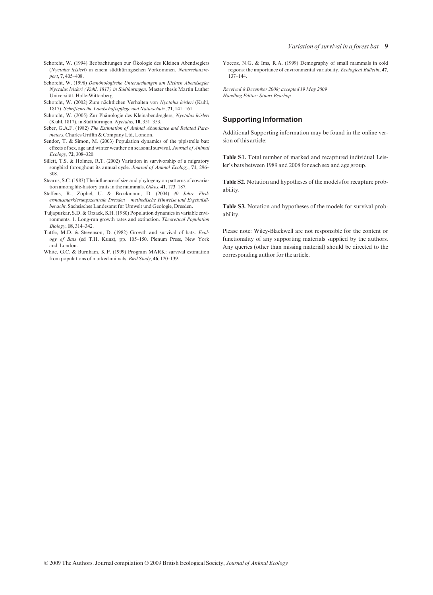- Schorcht, W. (1994) Beobachtungen zur Ökologie des Kleinen Abendseglers (Nyctalus leisleri) in einem südthüringischen Vorkommen. Naturschutzreport, 7, 405–408.
- Schorcht, W. (1998) Demökologische Untersuchungen am Kleinen Abendsegler Nyctalus leisleri (Kuhl, 1817) in Südthüringen. Master thesis Martin Luther Universität, Halle-Wittenberg.
- Schorcht, W. (2002) Zum nächtlichen Verhalten von Nyctalus leisleri (Kuhl, 1817). Schriftenreihe Landschaftspflege und Naturschutz, 71, 141–161.
- Schorcht, W. (2005) Zur Phänologie des Kleinabendseglers, Nyctalus leisleri (Kuhl, 1817), in Südthüringen. Nyctalus, 10, 351-353.
- Seber, G.A.F. (1982) The Estimation of Animal Abundance and Related Parameters. Charles Griffin & Company Ltd, London.
- Sendor, T. & Simon, M. (2003) Population dynamics of the pipistrelle bat: effects of sex, age and winter weather on seasonal survival. Journal of Animal Ecology, 72, 308–320.
- Sillett, T.S. & Holmes, R.T. (2002) Variation in survivorship of a migratory songbird throughout its annual cycle. Journal of Animal Ecology, 71, 296-308.
- Stearns, S.C. (1983) The influence of size and phylogeny on patterns of covariation among life-history traits in the mammals. Oikos, 41, 173–187.
- Steffens, R., Zöphel, U. & Brockmann, D. (2004) 40 Jahre Fledermausmarkierungszentrale Dresden – methodische Hinweise und Ergebnisübersicht. Sächsisches Landesamt für Umwelt und Geologie, Dresden.
- Tuljapurkar, S.D. & Orzack, S.H. (1980) Population dynamics in variable environments. 1. Long-run growth rates and extinction. Theoretical Population Biology, 18, 314–342.
- Tuttle, M.D. & Stevenson, D. (1982) Growth and survival of bats. Ecology of Bats (ed T.H. Kunz), pp. 105–150. Plenum Press, New York and London.
- White, G.C. & Burnham, K.P. (1999) Program MARK: survival estimation from populations of marked animals. Bird Study, 46, 120–139.

Yoccoz, N.G. & Ims, R.A. (1999) Demography of small mammals in cold regions: the importance of environmental variability. Ecological Bulletin, 47, 137–144.

Received 8 December 2008; accepted 19 May 2009 Handling Editor: Stuart Bearhop

## Supporting Information

Additional Supporting information may be found in the online version of this article:

Table S1. Total number of marked and recaptured individual Leisler's bats between 1989 and 2008 for each sex and age group.

Table S2. Notation and hypotheses of the models for recapture probability.

Table S3. Notation and hypotheses of the models for survival probability.

Please note: Wiley-Blackwell are not responsible for the content or functionality of any supporting materials supplied by the authors. Any queries (other than missing material) should be directed to the corresponding author for the article.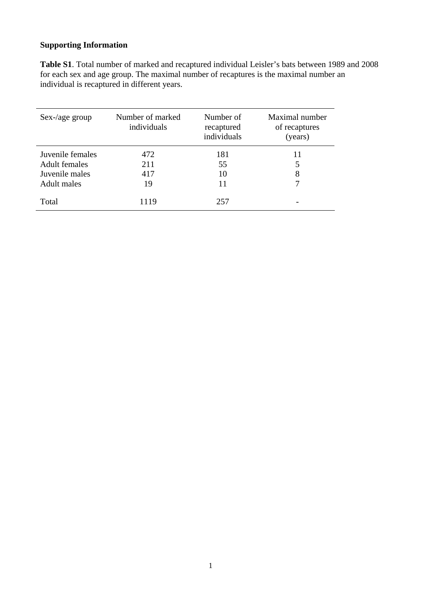# **Supporting Information**

| $Sex \rightarrow age$ group | Number of marked<br>individuals | Number of<br>recaptured<br>individuals | Maximal number<br>of recaptures<br>(years) |
|-----------------------------|---------------------------------|----------------------------------------|--------------------------------------------|
| Juvenile females            | 472                             | 181                                    |                                            |
| <b>Adult females</b>        | 211                             | 55                                     | 5                                          |
| Juvenile males              | 417                             | 10                                     | 8                                          |
| <b>Adult</b> males          | 19                              | 11                                     |                                            |
| Total                       | 1119                            | 257                                    |                                            |

**Table S1**. Total number of marked and recaptured individual Leisler's bats between 1989 and 2008 for each sex and age group. The maximal number of recaptures is the maximal number an individual is recaptured in different years.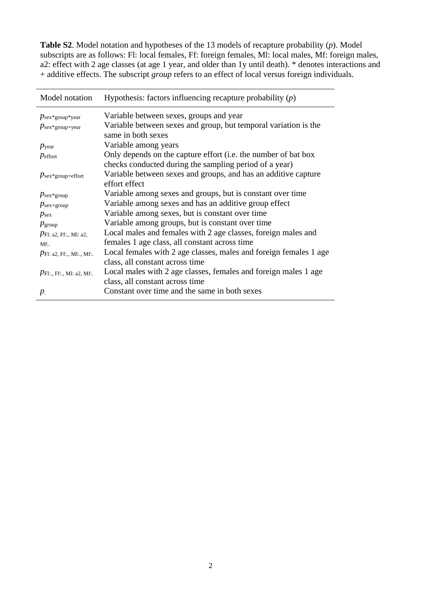**Table S2**. Model notation and hypotheses of the 13 models of recapture probability (*p*). Model subscripts are as follows: Fl: local females, Ff: foreign females, Ml: local males, Mf: foreign males, a2: effect with 2 age classes (at age 1 year, and older than 1y until death). \* denotes interactions and + additive effects. The subscript *group* refers to an effect of local versus foreign individuals.

| Model notation                | Hypothesis: factors influencing recapture probability $(p)$                                                |
|-------------------------------|------------------------------------------------------------------------------------------------------------|
| $p_{\text{sex}}*$ group*year  | Variable between sexes, groups and year<br>Variable between sexes and group, but temporal variation is the |
| $p_{\text{sex*group+year}}$   | same in both sexes                                                                                         |
| $p_{\text{year}}$             | Variable among years                                                                                       |
| $p_{\text{effort}}$           | Only depends on the capture effort (i.e. the number of bat box                                             |
|                               | checks conducted during the sampling period of a year)                                                     |
| $p_{\text{sex*group+effort}}$ | Variable between sexes and groups, and has an additive capture                                             |
|                               | effort effect                                                                                              |
| $p_{\text{sex*group}}$        | Variable among sexes and groups, but is constant over time                                                 |
| $p_{\text{sex+group}}$        | Variable among sexes and has an additive group effect                                                      |
| $p_{\rm sex}$                 | Variable among sexes, but is constant over time                                                            |
| $p_{\text{group}}$            | Variable among groups, but is constant over time                                                           |
| $P$ Fl: a2, Ff:., Ml: a2,     | Local males and females with 2 age classes, foreign males and                                              |
| $Mf$ :                        | females 1 age class, all constant across time                                                              |
| $P$ Fl: a2, Ff:., Ml:., Mf:.  | Local females with 2 age classes, males and foreign females 1 age                                          |
|                               | class, all constant across time                                                                            |
| $P$ Fl:., Ff:., Ml: a2, Mf:.  | Local males with 2 age classes, females and foreign males 1 age                                            |
|                               | class, all constant across time                                                                            |
| $p_{\cdot}$                   | Constant over time and the same in both sexes                                                              |